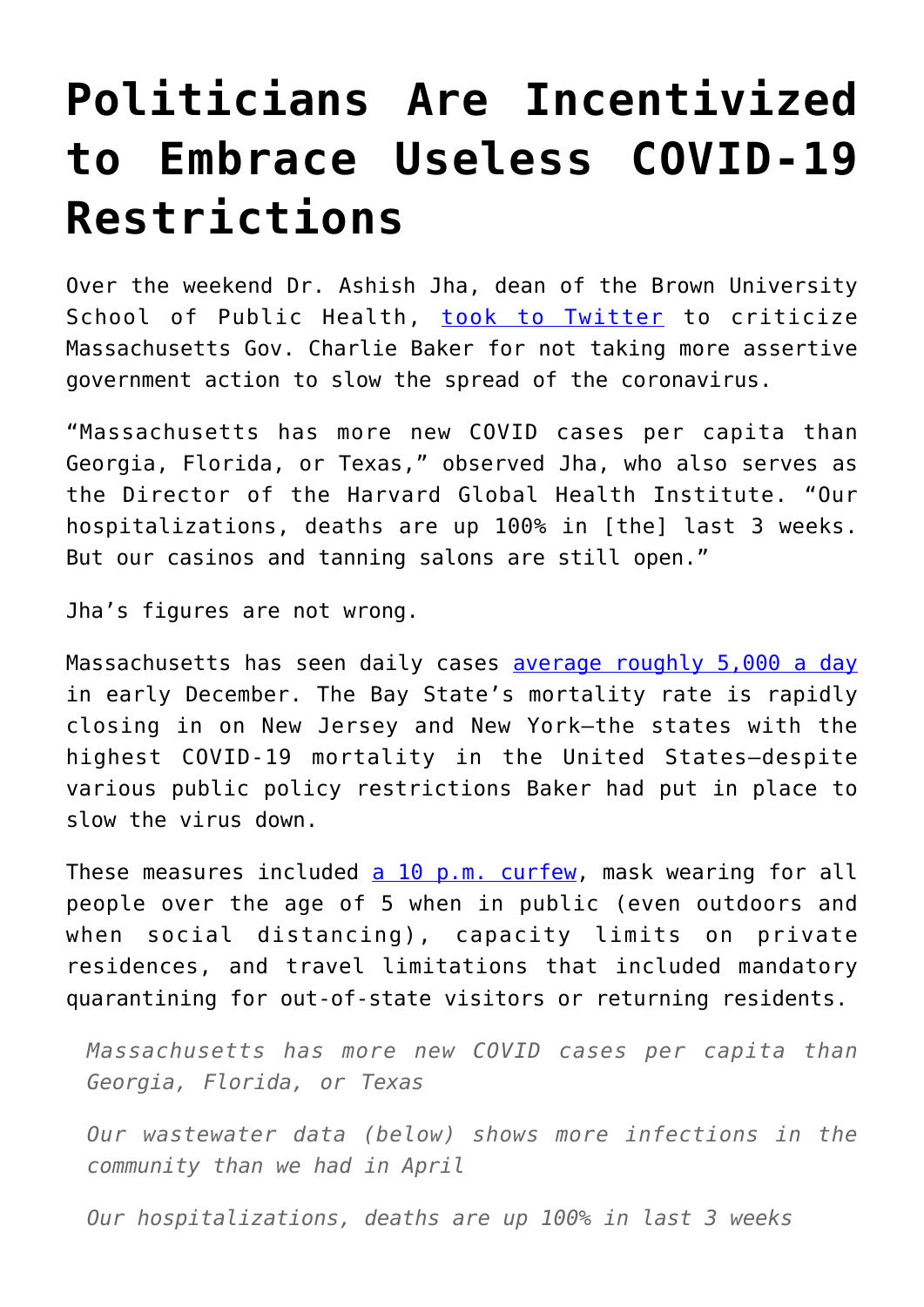## **[Politicians Are Incentivized](https://intellectualtakeout.org/2020/12/politicians-are-incentivized-to-embrace-useless-covid-19-restrictions/) [to Embrace Useless COVID-19](https://intellectualtakeout.org/2020/12/politicians-are-incentivized-to-embrace-useless-covid-19-restrictions/) [Restrictions](https://intellectualtakeout.org/2020/12/politicians-are-incentivized-to-embrace-useless-covid-19-restrictions/)**

Over the weekend Dr. Ashish Jha, dean of the Brown University School of Public Health, [took to Twitter](https://twitter.com/ashishkjha/status/1335433924202418176) to criticize Massachusetts Gov. Charlie Baker for not taking more assertive government action to slow the spread of the coronavirus.

"Massachusetts has more new COVID cases per capita than Georgia, Florida, or Texas," observed Jha, who also serves as the Director of the Harvard Global Health Institute. "Our hospitalizations, deaths are up 100% in [the] last 3 weeks. But our casinos and tanning salons are still open."

Jha's figures are not wrong.

Massachusetts has seen daily cases [average roughly 5,000 a day](https://www.worldometers.info/coronavirus/usa/massachusetts/) in early December. The Bay State's mortality rate is rapidly closing in on New Jersey and New York—the states with the highest COVID-19 mortality in the United States—despite various public policy restrictions Baker had put in place to slow the virus down.

These measures included [a 10 p.m. curfew,](https://www.nbcboston.com/news/coronavirus/doctor-new-coronavirus-rules-in-mass-could-improve-safety/2224934/) mask wearing for all people over the age of 5 when in public (even outdoors and when social distancing), capacity limits on private residences, and travel limitations that included mandatory quarantining for out-of-state visitors or returning residents.

*Massachusetts has more new COVID cases per capita than Georgia, Florida, or Texas*

*Our wastewater data (below) shows more infections in the community than we had in April*

*Our hospitalizations, deaths are up 100% in last 3 weeks*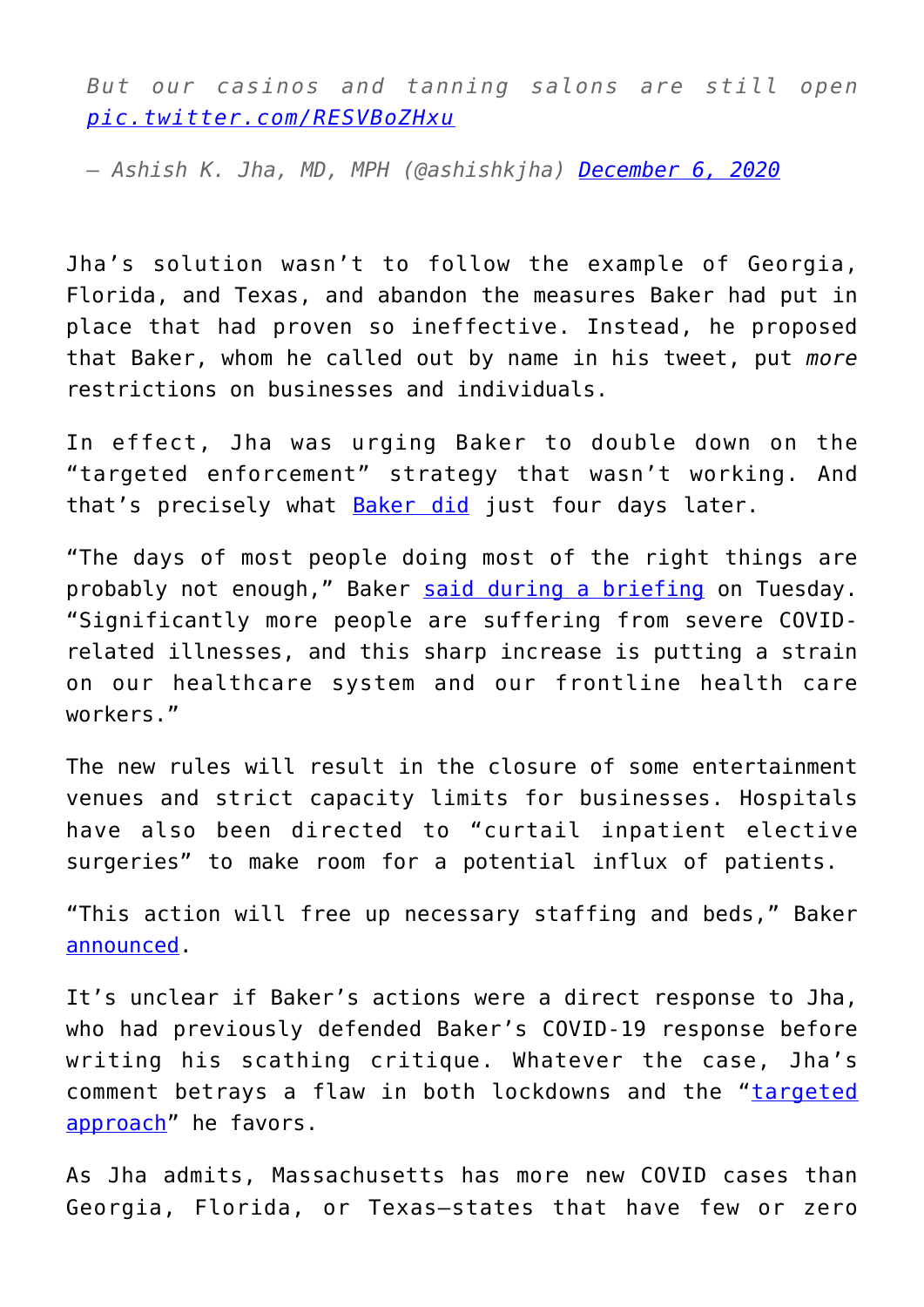*But our casinos and tanning salons are still open [pic.twitter.com/RESVBoZHxu](https://t.co/RESVBoZHxu)*

*— Ashish K. Jha, MD, MPH (@ashishkjha) [December 6, 2020](https://twitter.com/ashishkjha/status/1335433924202418176?ref_src=twsrc%5Etfw)*

Jha's solution wasn't to follow the example of Georgia, Florida, and Texas, and abandon the measures Baker had put in place that had proven so ineffective. Instead, he proposed that Baker, whom he called out by name in his tweet, put *more* restrictions on businesses and individuals.

In effect, Jha was urging Baker to double down on the "targeted enforcement" strategy that wasn't working. And that's precisely what **Baker did** just four days later.

"The days of most people doing most of the right things are probably not enough," Baker [said during a briefing](https://www.newburyportnews.com/news/regional_news/baker-tightens-restrictions-amid-covid-19-surge/article_5f6bb007-d2dd-5d95-99fe-44bb21813a68.html) on Tuesday. "Significantly more people are suffering from severe COVIDrelated illnesses, and this sharp increase is putting a strain on our healthcare system and our frontline health care workers."

The new rules will result in the closure of some entertainment venues and strict capacity limits for businesses. Hospitals have also been directed to "curtail inpatient elective surgeries" to make room for a potential influx of patients.

"This action will free up necessary staffing and beds," Baker [announced.](https://www.bostonglobe.com/2020/12/07/metro/baker-says-mass-hospitals-will-stop-elective-surgeries-amid-covid-19-spike/)

It's unclear if Baker's actions were a direct response to Jha, who had previously defended Baker's COVID-19 response before writing his scathing critique. Whatever the case, Jha's comment betrays a flaw in both lockdowns and the "[targeted](https://www.boston.com/news/coronavirus/2020/11/17/ashish-jha-today-show-coronavirus-targeted-effort-needed) [approach"](https://www.boston.com/news/coronavirus/2020/11/17/ashish-jha-today-show-coronavirus-targeted-effort-needed) he favors.

As Jha admits, Massachusetts has more new COVID cases than Georgia, Florida, or Texas—states that have few or zero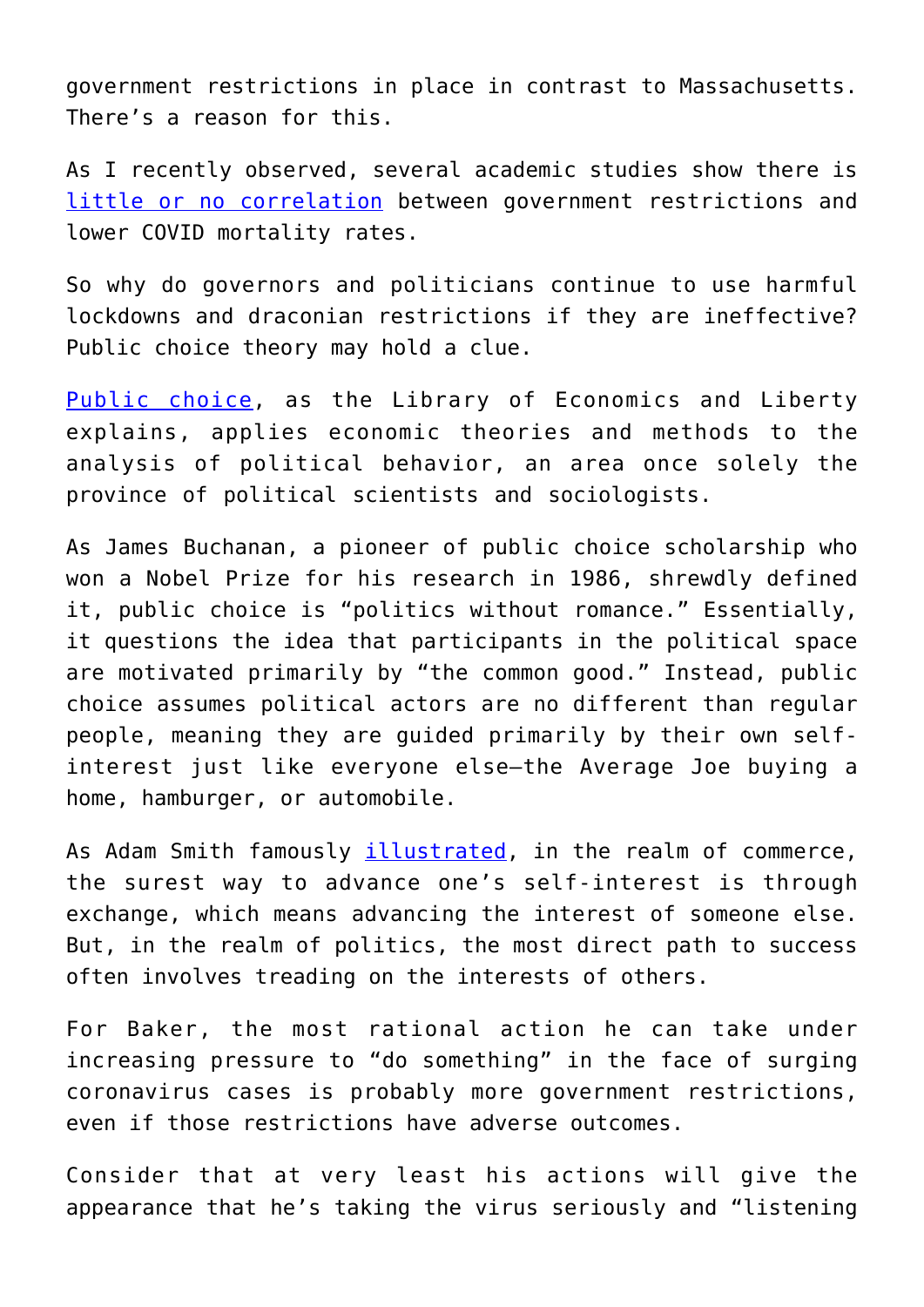government restrictions in place in contrast to Massachusetts. There's a reason for this.

As I recently observed, several academic studies show there is [little or no correlation](https://fee.org/articles/3-studies-that-show-lockdowns-are-ineffective-at-slowing-covid-19/) between government restrictions and lower COVID mortality rates.

So why do governors and politicians continue to use harmful lockdowns and draconian restrictions if they are ineffective? Public choice theory may hold a clue.

[Public choice](https://www.econlib.org/library/Enc/PublicChoice.html), as the Library of Economics and Liberty explains, applies economic theories and methods to the analysis of political behavior, an area once solely the province of political scientists and sociologists.

As James Buchanan, a pioneer of public choice scholarship who won a Nobel Prize for his research in 1986, shrewdly defined it, public choice is "politics without romance." Essentially, it questions the idea that participants in the political space are motivated primarily by "the common good." Instead, public choice assumes political actors are no different than regular people, meaning they are guided primarily by their own selfinterest just like everyone else—the Average Joe buying a home, hamburger, or automobile.

As Adam Smith famously *illustrated*, in the realm of commerce, the surest way to advance one's self-interest is through exchange, which means advancing the interest of someone else. But, in the realm of politics, the most direct path to success often involves treading on the interests of others.

For Baker, the most rational action he can take under increasing pressure to "do something" in the face of surging coronavirus cases is probably more government restrictions, even if those restrictions have adverse outcomes.

Consider that at very least his actions will give the appearance that he's taking the virus seriously and "listening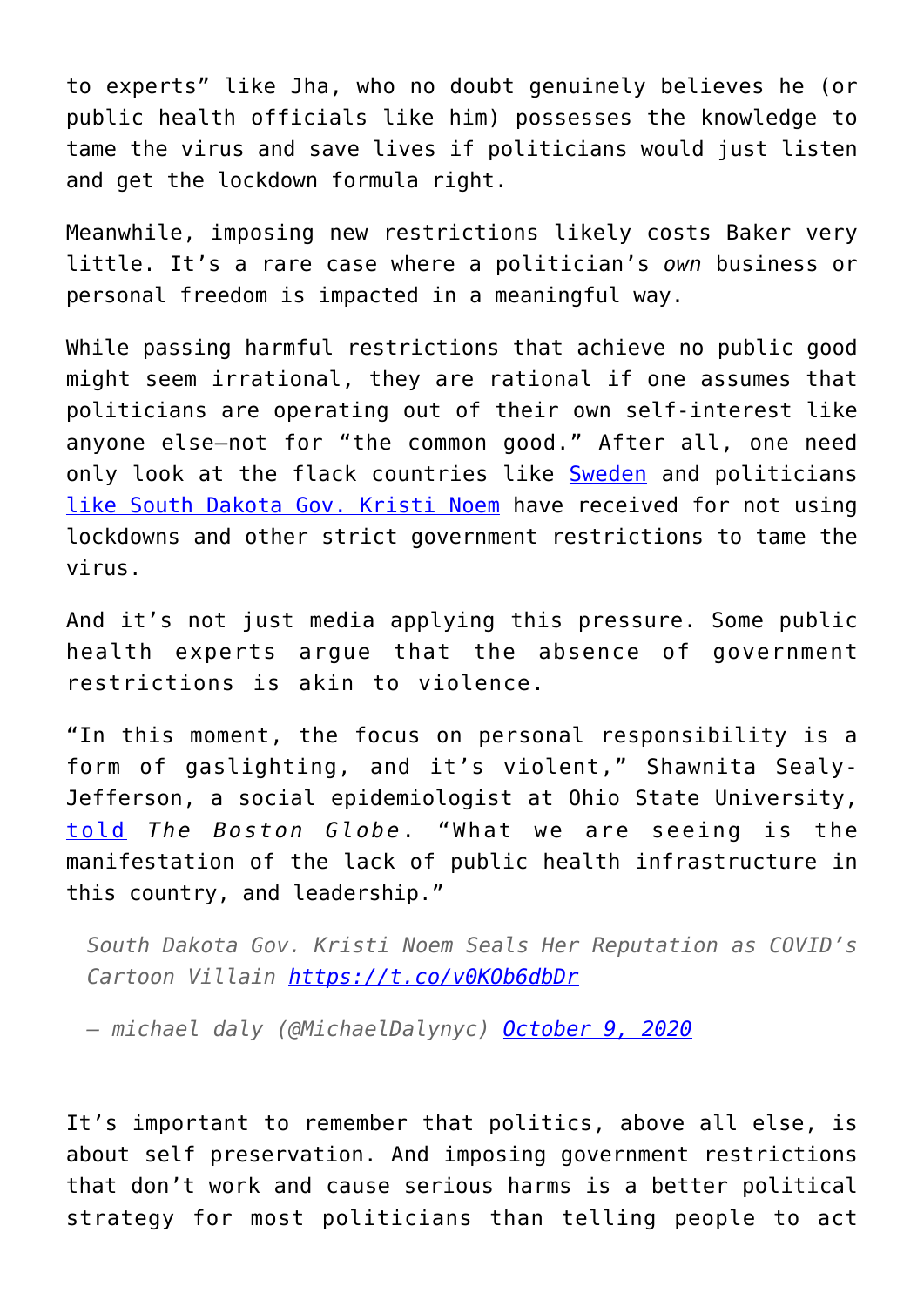to experts" like Jha, who no doubt genuinely believes he (or public health officials like him) possesses the knowledge to tame the virus and save lives if politicians would just listen and get the lockdown formula right.

Meanwhile, imposing new restrictions likely costs Baker very little. It's a rare case where a politician's *own* business or personal freedom is impacted in a meaningful way.

While passing harmful restrictions that achieve no public good might seem irrational, they are rational if one assumes that politicians are operating out of their own self-interest like anyone else—not for "the common good." After all, one need only look at the flack countries like [Sweden](https://www.theguardian.com/world/2020/aug/19/sweden-records-highest-death-tally-in-150-years-in-first-half-of-2020) and politicians [like South Dakota Gov. Kristi Noem](https://www.thedailybeast.com/south-dakota-gov-kristi-noem-seals-her-reputation-as-covids-cartoon-villain) have received for not using lockdowns and other strict government restrictions to tame the virus.

And it's not just media applying this pressure. Some public health experts argue that the absence of government restrictions is akin to violence.

"In this moment, the focus on personal responsibility is a form of gaslighting, and it's violent," Shawnita Sealy-Jefferson, a social epidemiologist at Ohio State University, [told](https://www.bostonglobe.com/2020/12/07/nation/with-few-covid-19-restrictions-personal-responsibility-takes-center-stage-pandemic-response/) *The Boston Globe*. "What we are seeing is the manifestation of the lack of public health infrastructure in this country, and leadership."

*South Dakota Gov. Kristi Noem Seals Her Reputation as COVID's Cartoon Villain<https://t.co/v0KOb6dbDr>*

*— michael daly (@MichaelDalynyc) [October 9, 2020](https://twitter.com/MichaelDalynyc/status/1314522953929941002?ref_src=twsrc%5Etfw)*

It's important to remember that politics, above all else, is about self preservation. And imposing government restrictions that don't work and cause serious harms is a better political strategy for most politicians than telling people to act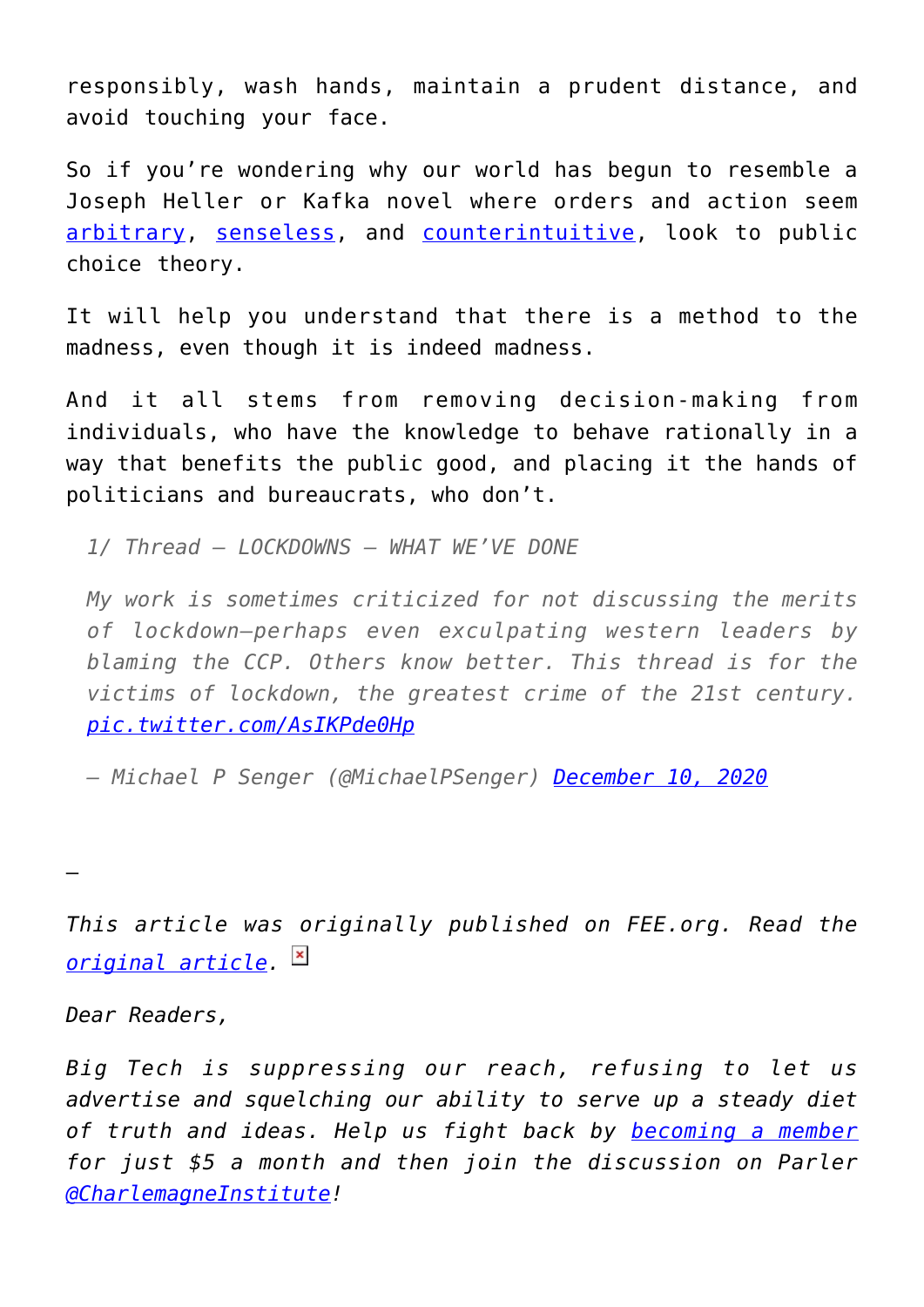responsibly, wash hands, maintain a prudent distance, and avoid touching your face.

So if you're wondering why our world has begun to resemble a Joseph Heller or Kafka novel where orders and action seem [arbitrary,](https://fee.org/articles/time-to-cancel-everything-la-mayor-s-new-lockdown-order-plagued-by-absurd-inconsistency-and-overreach/) [senseless](https://twitter.com/jeffreyatucker/status/1335610632268288005), and [counterintuitive](https://fee.org/articles/how-states-turned-nursing-homes-into-slaughter-houses-by-forcing-them-to-admit-discharged-covid-19-patients/), look to public choice theory.

It will help you understand that there is a method to the madness, even though it is indeed madness.

And it all stems from removing decision-making from individuals, who have the knowledge to behave rationally in a way that benefits the public good, and placing it the hands of politicians and bureaucrats, who don't.

*1/ Thread – LOCKDOWNS – WHAT WE'VE DONE*

*My work is sometimes criticized for not discussing the merits of lockdown—perhaps even exculpating western leaders by blaming the CCP. Others know better. This thread is for the victims of lockdown, the greatest crime of the 21st century. [pic.twitter.com/AsIKPde0Hp](https://t.co/AsIKPde0Hp)*

*— Michael P Senger (@MichaelPSenger) [December 10, 2020](https://twitter.com/MichaelPSenger/status/1336869977685692420?ref_src=twsrc%5Etfw)*

—

*This article was originally published on FEE.org. Read the [original article.](https://fee.org/articles/why-politicians-are-incentivized-to-embrace-covid-19-restrictions-even-if-they-don-t-work/)*

*Dear Readers,*

*Big Tech is suppressing our reach, refusing to let us advertise and squelching our ability to serve up a steady diet of truth and ideas. Help us fight back by [becoming a member](https://www.chroniclesmagazine.org/subscribe/) for just \$5 a month and then join the discussion on Parler [@CharlemagneInstitute](https://parler.com/profile/CharlemagneInstitute)!*